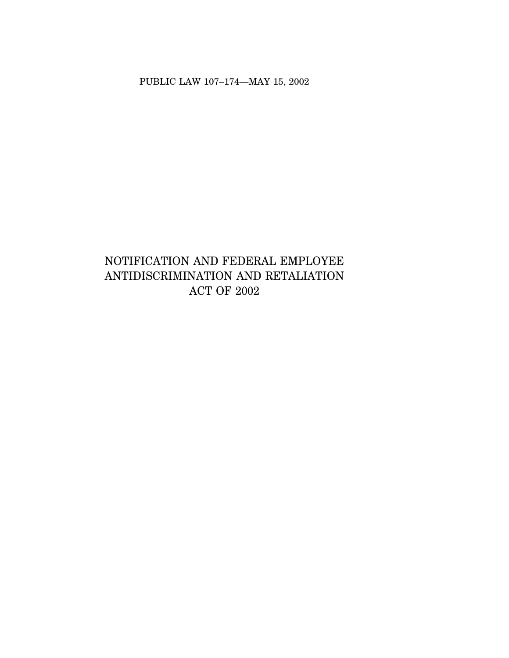PUBLIC LAW 107–174—MAY 15, 2002

# NOTIFICATION AND FEDERAL EMPLOYEE ANTIDISCRIMINATION AND RETALIATION ACT OF 2002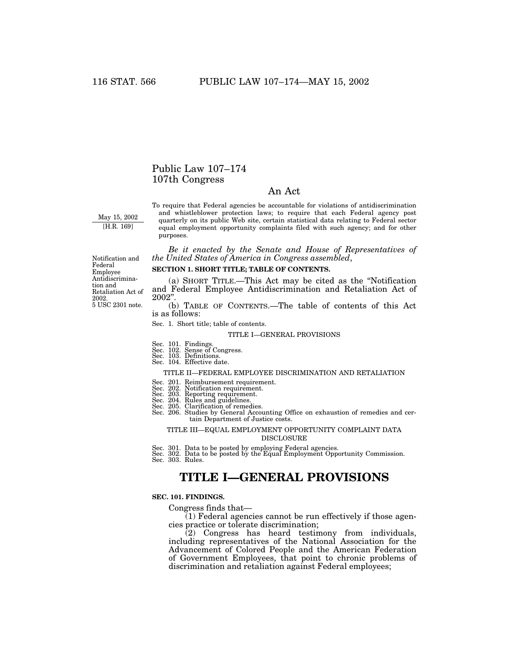## Public Law 107–174 107th Congress

### An Act

May 15, 2002 [H.R. 169]

To require that Federal agencies be accountable for violations of antidiscrimination and whistleblower protection laws; to require that each Federal agency post quarterly on its public Web site, certain statistical data relating to Federal sector equal employment opportunity complaints filed with such agency; and for other purposes.

*Be it enacted by the Senate and House of Representatives of the United States of America in Congress assembled*,

### **SECTION 1. SHORT TITLE; TABLE OF CONTENTS.**

(a) SHORT TITLE.—This Act may be cited as the ''Notification and Federal Employee Antidiscrimination and Retaliation Act of 2002''.

(b) TABLE OF CONTENTS.—The table of contents of this Act is as follows:

Sec. 1. Short title; table of contents.

### TITLE I—GENERAL PROVISIONS

- Sec. 101. Findings. Sec. 102. Sense of Congress.
- Sec. 103. Definitions. Sec. 104. Effective date.

#### TITLE II—FEDERAL EMPLOYEE DISCRIMINATION AND RETALIATION

- 
- Sec. 201. Reimbursement requirement. Sec. 202. Notification requirement. Sec. 203. Reporting requirement.
- 
- 
- 
- Sec. 204. Rules and guidelines. Sec. 205. Clarification of remedies. Sec. 206. Studies by General Accounting Office on exhaustion of remedies and certain Department of Justice costs.

### TITLE III—EQUAL EMPLOYMENT OPPORTUNITY COMPLAINT DATA DISCLOSURE

Sec. 301. Data to be posted by employing Federal agencies. Sec. 302. Data to be posted by the Equal Employment Opportunity Commission. Sec. 303. Rules.

## **TITLE I—GENERAL PROVISIONS**

### **SEC. 101. FINDINGS.**

Congress finds that—

(1) Federal agencies cannot be run effectively if those agencies practice or tolerate discrimination;

(2) Congress has heard testimony from individuals, including representatives of the National Association for the Advancement of Colored People and the American Federation of Government Employees, that point to chronic problems of discrimination and retaliation against Federal employees;

5 USC 2301 note. Notification and Federal Employee Antidiscrimination and Retaliation Act of 2002.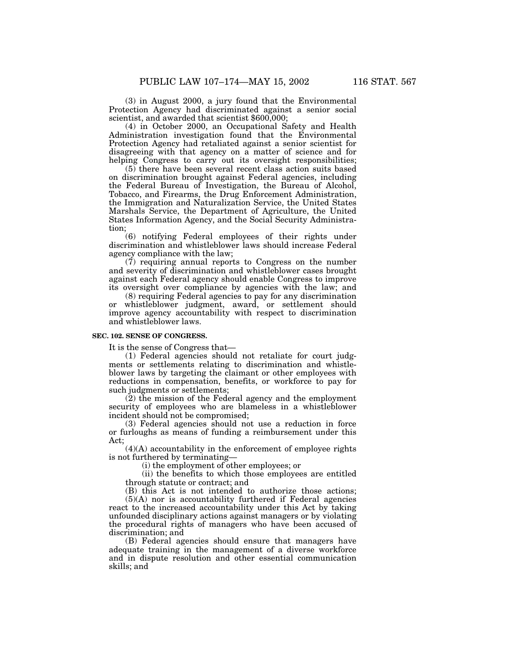(3) in August 2000, a jury found that the Environmental Protection Agency had discriminated against a senior social scientist, and awarded that scientist \$600,000;

(4) in October 2000, an Occupational Safety and Health Administration investigation found that the Environmental Protection Agency had retaliated against a senior scientist for disagreeing with that agency on a matter of science and for helping Congress to carry out its oversight responsibilities;

(5) there have been several recent class action suits based on discrimination brought against Federal agencies, including the Federal Bureau of Investigation, the Bureau of Alcohol, Tobacco, and Firearms, the Drug Enforcement Administration, the Immigration and Naturalization Service, the United States Marshals Service, the Department of Agriculture, the United States Information Agency, and the Social Security Administration;

(6) notifying Federal employees of their rights under discrimination and whistleblower laws should increase Federal agency compliance with the law;

(7) requiring annual reports to Congress on the number and severity of discrimination and whistleblower cases brought against each Federal agency should enable Congress to improve its oversight over compliance by agencies with the law; and

(8) requiring Federal agencies to pay for any discrimination whistleblower judgment, award, or settlement should improve agency accountability with respect to discrimination and whistleblower laws.

### **SEC. 102. SENSE OF CONGRESS.**

It is the sense of Congress that—

(1) Federal agencies should not retaliate for court judgments or settlements relating to discrimination and whistleblower laws by targeting the claimant or other employees with reductions in compensation, benefits, or workforce to pay for such judgments or settlements;

(2) the mission of the Federal agency and the employment security of employees who are blameless in a whistleblower incident should not be compromised;

(3) Federal agencies should not use a reduction in force or furloughs as means of funding a reimbursement under this Act;

 $(4)(A)$  accountability in the enforcement of employee rights is not furthered by terminating—

(i) the employment of other employees; or

(ii) the benefits to which those employees are entitled through statute or contract; and

(B) this Act is not intended to authorize those actions;

(5)(A) nor is accountability furthered if Federal agencies react to the increased accountability under this Act by taking unfounded disciplinary actions against managers or by violating the procedural rights of managers who have been accused of discrimination; and

(B) Federal agencies should ensure that managers have adequate training in the management of a diverse workforce and in dispute resolution and other essential communication skills; and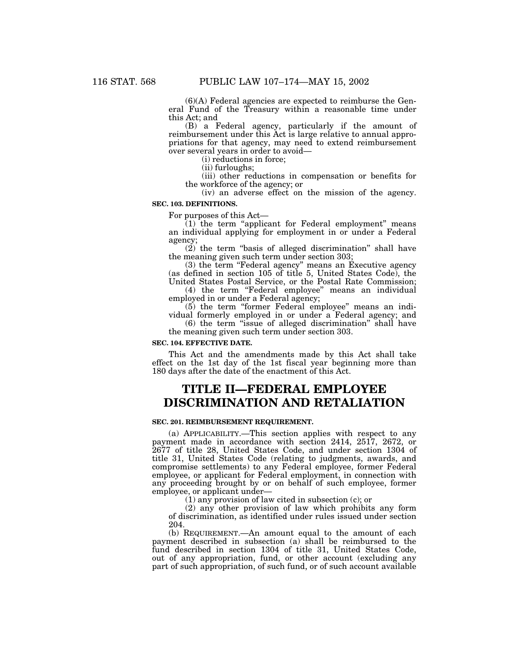(6)(A) Federal agencies are expected to reimburse the General Fund of the Treasury within a reasonable time under this Act; and

(B) a Federal agency, particularly if the amount of reimbursement under this Act is large relative to annual appropriations for that agency, may need to extend reimbursement over several years in order to avoid—

(i) reductions in force;

(ii) furloughs;

(iii) other reductions in compensation or benefits for the workforce of the agency; or

(iv) an adverse effect on the mission of the agency.

### **SEC. 103. DEFINITIONS.**

For purposes of this Act—<br>
(1) the term "applicant for Federal employment" means an individual applying for employment in or under a Federal agency;

 $(2)$  the term "basis of alleged discrimination" shall have the meaning given such term under section 303;

(3) the term "Federal agency" means an Executive agency (as defined in section 105 of title 5, United States Code), the

United States Postal Service, or the Postal Rate Commission; (4) the term "Federal employee" means an individual employed in or under a Federal agency;

(5) the term ''former Federal employee'' means an indi-

vidual formerly employed in or under a Federal agency; and (6) the term ''issue of alleged discrimination'' shall have

the meaning given such term under section 303.

### **SEC. 104. EFFECTIVE DATE.**

This Act and the amendments made by this Act shall take effect on the 1st day of the 1st fiscal year beginning more than 180 days after the date of the enactment of this Act.

## **TITLE II—FEDERAL EMPLOYEE DISCRIMINATION AND RETALIATION**

### **SEC. 201. REIMBURSEMENT REQUIREMENT.**

(a) APPLICABILITY.—This section applies with respect to any payment made in accordance with section 2414, 2517, 2672, or 2677 of title 28, United States Code, and under section 1304 of title 31, United States Code (relating to judgments, awards, and compromise settlements) to any Federal employee, former Federal employee, or applicant for Federal employment, in connection with any proceeding brought by or on behalf of such employee, former employee, or applicant under—

(1) any provision of law cited in subsection (c); or

(2) any other provision of law which prohibits any form of discrimination, as identified under rules issued under section 204.

(b) REQUIREMENT.—An amount equal to the amount of each payment described in subsection (a) shall be reimbursed to the fund described in section 1304 of title 31, United States Code, out of any appropriation, fund, or other account (excluding any part of such appropriation, of such fund, or of such account available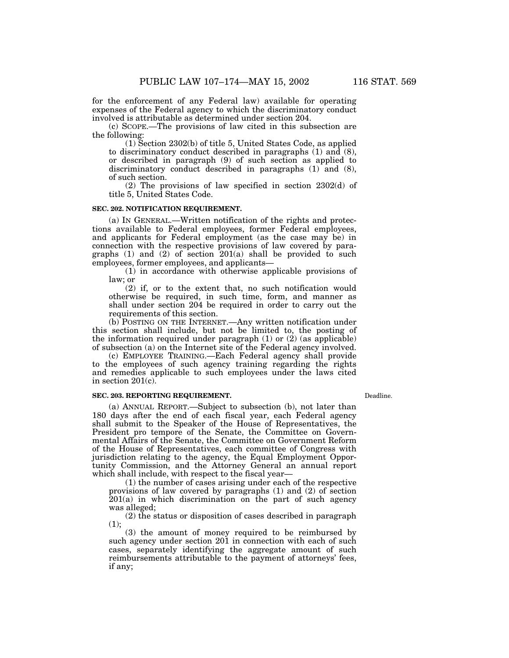for the enforcement of any Federal law) available for operating expenses of the Federal agency to which the discriminatory conduct involved is attributable as determined under section 204.

(c) SCOPE.—The provisions of law cited in this subsection are the following:

(1) Section 2302(b) of title 5, United States Code, as applied to discriminatory conduct described in paragraphs (1) and (8), or described in paragraph (9) of such section as applied to discriminatory conduct described in paragraphs (1) and (8), of such section.

(2) The provisions of law specified in section 2302(d) of title 5, United States Code.

### **SEC. 202. NOTIFICATION REQUIREMENT.**

(a) IN GENERAL.—Written notification of the rights and protections available to Federal employees, former Federal employees, and applicants for Federal employment (as the case may be) in connection with the respective provisions of law covered by paragraphs (1) and (2) of section 201(a) shall be provided to such employees, former employees, and applicants—

(1) in accordance with otherwise applicable provisions of law; or

(2) if, or to the extent that, no such notification would otherwise be required, in such time, form, and manner as shall under section 204 be required in order to carry out the requirements of this section.

(b) POSTING ON THE INTERNET.—Any written notification under this section shall include, but not be limited to, the posting of the information required under paragraph  $(1)$  or  $(2)$  (as applicable) of subsection (a) on the Internet site of the Federal agency involved.

(c) EMPLOYEE TRAINING.—Each Federal agency shall provide to the employees of such agency training regarding the rights and remedies applicable to such employees under the laws cited in section 201(c).

### **SEC. 203. REPORTING REQUIREMENT.**

Deadline.

(a) ANNUAL REPORT.—Subject to subsection (b), not later than 180 days after the end of each fiscal year, each Federal agency shall submit to the Speaker of the House of Representatives, the President pro tempore of the Senate, the Committee on Governmental Affairs of the Senate, the Committee on Government Reform of the House of Representatives, each committee of Congress with jurisdiction relating to the agency, the Equal Employment Opportunity Commission, and the Attorney General an annual report which shall include, with respect to the fiscal year—

(1) the number of cases arising under each of the respective provisions of law covered by paragraphs (1) and (2) of section 201(a) in which discrimination on the part of such agency was alleged;

(2) the status or disposition of cases described in paragraph (1);

(3) the amount of money required to be reimbursed by such agency under section 201 in connection with each of such cases, separately identifying the aggregate amount of such reimbursements attributable to the payment of attorneys' fees, if any;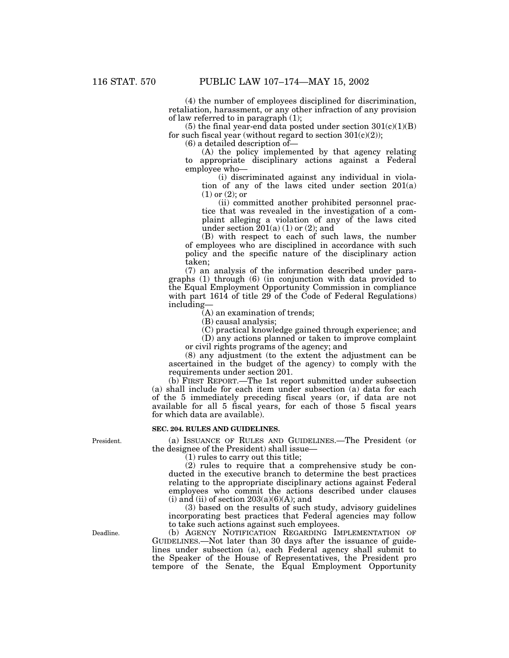(4) the number of employees disciplined for discrimination, retaliation, harassment, or any other infraction of any provision of law referred to in paragraph (1);

(5) the final year-end data posted under section  $301(c)(1)(B)$ for such fiscal year (without regard to section  $301(c)(2)$ );

(6) a detailed description of—

(A) the policy implemented by that agency relating to appropriate disciplinary actions against a Federal employee who—

(i) discriminated against any individual in violation of any of the laws cited under section 201(a) (1) or (2); or

(ii) committed another prohibited personnel practice that was revealed in the investigation of a complaint alleging a violation of any of the laws cited under section  $\bar{2}01(a)$  (1) or (2); and

(B) with respect to each of such laws, the number of employees who are disciplined in accordance with such policy and the specific nature of the disciplinary action taken;

(7) an analysis of the information described under paragraphs (1) through (6) (in conjunction with data provided to the Equal Employment Opportunity Commission in compliance with part 1614 of title 29 of the Code of Federal Regulations) including—

(A) an examination of trends;

(B) causal analysis;

(C) practical knowledge gained through experience; and

(D) any actions planned or taken to improve complaint or civil rights programs of the agency; and

(8) any adjustment (to the extent the adjustment can be ascertained in the budget of the agency) to comply with the requirements under section 201.

(b) FIRST REPORT.—The 1st report submitted under subsection (a) shall include for each item under subsection (a) data for each of the 5 immediately preceding fiscal years (or, if data are not available for all 5 fiscal years, for each of those 5 fiscal years for which data are available).

### **SEC. 204. RULES AND GUIDELINES.**

(a) ISSUANCE OF RULES AND GUIDELINES.—The President (or the designee of the President) shall issue—

(1) rules to carry out this title;

(2) rules to require that a comprehensive study be conducted in the executive branch to determine the best practices relating to the appropriate disciplinary actions against Federal employees who commit the actions described under clauses (i) and (ii) of section  $203(a)(6)(A)$ ; and

(3) based on the results of such study, advisory guidelines incorporating best practices that Federal agencies may follow to take such actions against such employees.

(b) AGENCY NOTIFICATION REGARDING IMPLEMENTATION OF GUIDELINES.—Not later than 30 days after the issuance of guidelines under subsection (a), each Federal agency shall submit to the Speaker of the House of Representatives, the President pro tempore of the Senate, the Equal Employment Opportunity

President.

Deadline.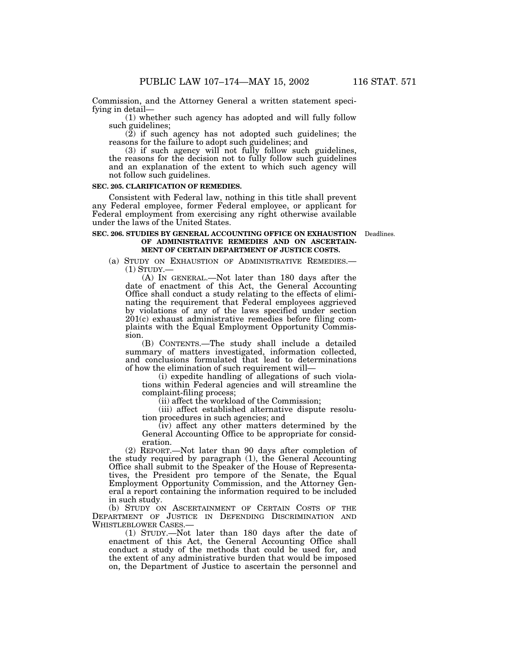Commission, and the Attorney General a written statement speci-<br>fying in detail—

 $(1)$  whether such agency has adopted and will fully follow such guidelines;

 $(2)$  if such agency has not adopted such guidelines; the reasons for the failure to adopt such guidelines; and

(3) if such agency will not fully follow such guidelines, the reasons for the decision not to fully follow such guidelines and an explanation of the extent to which such agency will not follow such guidelines.

### **SEC. 205. CLARIFICATION OF REMEDIES.**

Consistent with Federal law, nothing in this title shall prevent any Federal employee, former Federal employee, or applicant for Federal employment from exercising any right otherwise available under the laws of the United States.

### **SEC. 206. STUDIES BY GENERAL ACCOUNTING OFFICE ON EXHAUSTION** Deadlines. **OF ADMINISTRATIVE REMEDIES AND ON ASCERTAIN-MENT OF CERTAIN DEPARTMENT OF JUSTICE COSTS.**

(a) STUDY ON EXHAUSTION OF ADMINISTRATIVE REMEDIES.—<br>(1) STUDY.—<br>(A) IN GENERAL.—Not later than 180 days after the

date of enactment of this Act, the General Accounting Office shall conduct a study relating to the effects of eliminating the requirement that Federal employees aggrieved by violations of any of the laws specified under section 201(c) exhaust administrative remedies before filing complaints with the Equal Employment Opportunity Commission.

(B) CONTENTS.—The study shall include a detailed summary of matters investigated, information collected, and conclusions formulated that lead to determinations of how the elimination of such requirement will—

 $(i)$  expedite handling of allegations of such violations within Federal agencies and will streamline the complaint-filing process;

(ii) affect the workload of the Commission;

(iii) affect established alternative dispute resolution procedures in such agencies; and

(iv) affect any other matters determined by the General Accounting Office to be appropriate for consideration.

(2) REPORT.—Not later than 90 days after completion of the study required by paragraph (1), the General Accounting Office shall submit to the Speaker of the House of Representatives, the President pro tempore of the Senate, the Equal Employment Opportunity Commission, and the Attorney General a report containing the information required to be included in such study.

(b) STUDY ON ASCERTAINMENT OF CERTAIN COSTS OF THE DEPARTMENT OF JUSTICE IN DEFENDING DISCRIMINATION AND WHISTLEBLOWER CASES.—

(1) STUDY.—Not later than 180 days after the date of enactment of this Act, the General Accounting Office shall conduct a study of the methods that could be used for, and the extent of any administrative burden that would be imposed on, the Department of Justice to ascertain the personnel and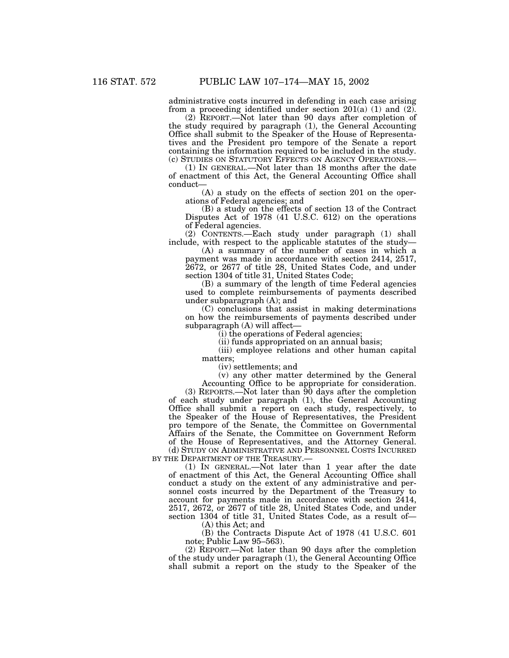administrative costs incurred in defending in each case arising from a proceeding identified under section  $201(a)$  (1) and (2).

(2) REPORT.—Not later than 90 days after completion of the study required by paragraph (1), the General Accounting Office shall submit to the Speaker of the House of Representatives and the President pro tempore of the Senate a report containing the information required to be included in the study.<br>(c) STUDIES ON STATUTORY EFFECTS ON AGENCY OPERATIONS.—

(1) IN GENERAL.—Not later than 18 months after the date of enactment of this Act, the General Accounting Office shall conduct—

(A) a study on the effects of section 201 on the operations of Federal agencies; and

(B) a study on the effects of section 13 of the Contract Disputes Act of 1978 (41 U.S.C. 612) on the operations of Federal agencies.

(2) CONTENTS.—Each study under paragraph (1) shall include, with respect to the applicable statutes of the study—

(A) a summary of the number of cases in which a payment was made in accordance with section 2414, 2517, 2672, or 2677 of title 28, United States Code, and under section 1304 of title 31, United States Code;

(B) a summary of the length of time Federal agencies used to complete reimbursements of payments described under subparagraph (A); and

(C) conclusions that assist in making determinations on how the reimbursements of payments described under subparagraph (A) will affect—

(i) the operations of Federal agencies;

(ii) funds appropriated on an annual basis;

(iii) employee relations and other human capital matters;

(iv) settlements; and

(v) any other matter determined by the General

Accounting Office to be appropriate for consideration. (3) REPORTS.—Not later than 90 days after the completion of each study under paragraph (1), the General Accounting Office shall submit a report on each study, respectively, to the Speaker of the House of Representatives, the President pro tempore of the Senate, the Committee on Governmental Affairs of the Senate, the Committee on Government Reform of the House of Representatives, and the Attorney General. (d) STUDY ON ADMINISTRATIVE AND PERSONNEL COSTS INCURRED BY THE DEPARTMENT OF THE TREASURY.—

(1) IN GENERAL.—Not later than 1 year after the date of enactment of this Act, the General Accounting Office shall conduct a study on the extent of any administrative and personnel costs incurred by the Department of the Treasury to account for payments made in accordance with section 2414, 2517, 2672, or 2677 of title 28, United States Code, and under section 1304 of title 31, United States Code, as a result of— (A) this Act; and

(B) the Contracts Dispute Act of 1978 (41 U.S.C. 601 note; Public Law 95–563).

(2) REPORT.—Not later than 90 days after the completion of the study under paragraph (1), the General Accounting Office shall submit a report on the study to the Speaker of the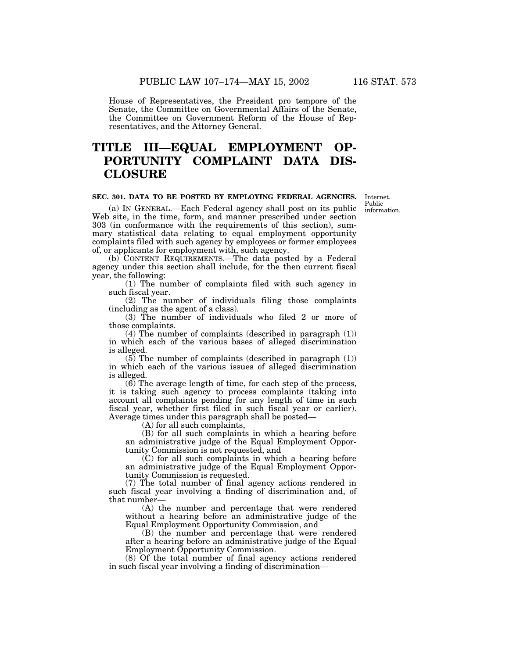House of Representatives, the President pro tempore of the Senate, the Committee on Governmental Affairs of the Senate, the Committee on Government Reform of the House of Representatives, and the Attorney General.

## **TITLE III—EQUAL EMPLOYMENT OP-PORTUNITY COMPLAINT DATA DIS-CLOSURE**

### **SEC. 301. DATA TO BE POSTED BY EMPLOYING FEDERAL AGENCIES.**

Internet. Public information.

(a) IN GENERAL.—Each Federal agency shall post on its public Web site, in the time, form, and manner prescribed under section 303 (in conformance with the requirements of this section), summary statistical data relating to equal employment opportunity complaints filed with such agency by employees or former employees of, or applicants for employment with, such agency.

(b) CONTENT REQUIREMENTS.—The data posted by a Federal agency under this section shall include, for the then current fiscal year, the following:

(1) The number of complaints filed with such agency in such fiscal year.

(2) The number of individuals filing those complaints (including as the agent of a class).

(3) The number of individuals who filed 2 or more of those complaints.

(4) The number of complaints (described in paragraph (1)) in which each of the various bases of alleged discrimination is alleged.

(5) The number of complaints (described in paragraph (1)) in which each of the various issues of alleged discrimination is alleged.

(6) The average length of time, for each step of the process, it is taking such agency to process complaints (taking into account all complaints pending for any length of time in such fiscal year, whether first filed in such fiscal year or earlier). Average times under this paragraph shall be posted— (A) for all such complaints,

(B) for all such complaints in which a hearing before an administrative judge of the Equal Employment Opportunity Commission is not requested, and

(C) for all such complaints in which a hearing before an administrative judge of the Equal Employment Opportunity Commission is requested.

(7) The total number of final agency actions rendered in such fiscal year involving a finding of discrimination and, of that number—

(A) the number and percentage that were rendered without a hearing before an administrative judge of the Equal Employment Opportunity Commission, and

(B) the number and percentage that were rendered after a hearing before an administrative judge of the Equal Employment Opportunity Commission.

(8) Of the total number of final agency actions rendered in such fiscal year involving a finding of discrimination—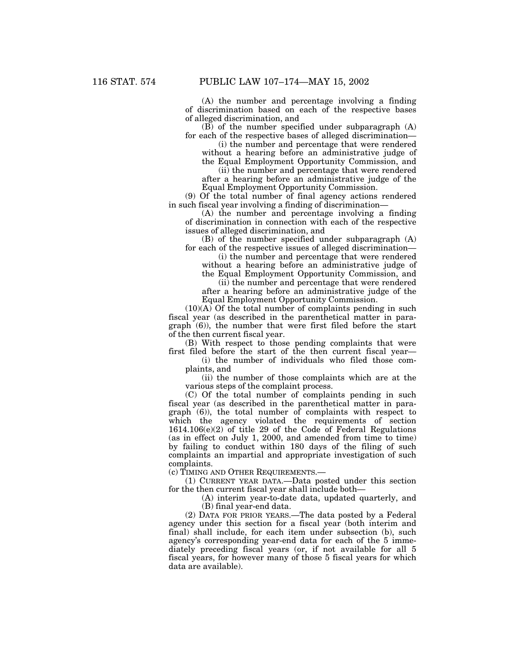(A) the number and percentage involving a finding of discrimination based on each of the respective bases of alleged discrimination, and

(B) of the number specified under subparagraph (A) for each of the respective bases of alleged discrimination—

(i) the number and percentage that were rendered without a hearing before an administrative judge of the Equal Employment Opportunity Commission, and

(ii) the number and percentage that were rendered after a hearing before an administrative judge of the Equal Employment Opportunity Commission.

(9) Of the total number of final agency actions rendered in such fiscal year involving a finding of discrimination—

(A) the number and percentage involving a finding of discrimination in connection with each of the respective issues of alleged discrimination, and

(B) of the number specified under subparagraph (A) for each of the respective issues of alleged discrimination—

(i) the number and percentage that were rendered without a hearing before an administrative judge of

the Equal Employment Opportunity Commission, and (ii) the number and percentage that were rendered

after a hearing before an administrative judge of the Equal Employment Opportunity Commission.

(10)(A) Of the total number of complaints pending in such fiscal year (as described in the parenthetical matter in paragraph (6)), the number that were first filed before the start of the then current fiscal year.

(B) With respect to those pending complaints that were first filed before the start of the then current fiscal year—

(i) the number of individuals who filed those complaints, and

(ii) the number of those complaints which are at the various steps of the complaint process.

(C) Of the total number of complaints pending in such fiscal year (as described in the parenthetical matter in paragraph (6)), the total number of complaints with respect to which the agency violated the requirements of section 1614.106(e)(2) of title 29 of the Code of Federal Regulations (as in effect on July 1, 2000, and amended from time to time) by failing to conduct within 180 days of the filing of such complaints an impartial and appropriate investigation of such complaints.

(c) TIMING AND OTHER REQUIREMENTS.—

(1) CURRENT YEAR DATA.—Data posted under this section for the then current fiscal year shall include both—

> (A) interim year-to-date data, updated quarterly, and (B) final year-end data.

(2) DATA FOR PRIOR YEARS.—The data posted by a Federal agency under this section for a fiscal year (both interim and final) shall include, for each item under subsection (b), such agency's corresponding year-end data for each of the 5 immediately preceding fiscal years (or, if not available for all 5 fiscal years, for however many of those 5 fiscal years for which data are available).